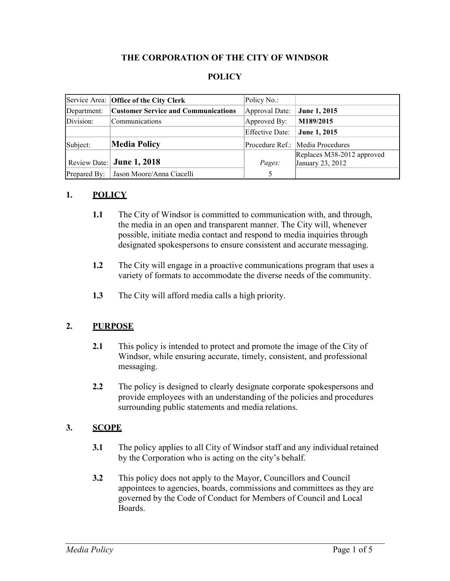#### **THE CORPORATION OF THE CITY OF WINDSOR**

### **POLICY**

|              | Service Area: Office of the City Clerk     | Policy No.:     |                                                |
|--------------|--------------------------------------------|-----------------|------------------------------------------------|
| Department:  | <b>Customer Service and Communications</b> | Approval Date:  | June 1, 2015                                   |
| Division:    | Communications                             | Approved By:    | M189/2015                                      |
|              |                                            | Effective Date: | June 1, 2015                                   |
| Subject:     | <b>Media Policy</b>                        |                 | Procedure Ref.: Media Procedures               |
|              | Review Date: June 1, 2018                  | Pages:          | Replaces M38-2012 approved<br>January 23, 2012 |
| Prepared By: | Jason Moore/Anna Ciacelli                  | .5              |                                                |

#### **1. POLICY**

- **1.1** The City of Windsor is committed to communication with, and through, the media in an open and transparent manner. The City will, whenever possible, initiate media contact and respond to media inquiries through designated spokespersons to ensure consistent and accurate messaging.
- **1.2** The City will engage in a proactive communications program that uses a variety of formats to accommodate the diverse needs of the community.
- **1.3** The City will afford media calls a high priority.

#### **2. PURPOSE**

- **2.1** This policy is intended to protect and promote the image of the City of Windsor, while ensuring accurate, timely, consistent, and professional messaging.
- **2.2** The policy is designed to clearly designate corporate spokespersons and provide employees with an understanding of the policies and procedures surrounding public statements and media relations.

#### **3. SCOPE**

- **3.1** The policy applies to all City of Windsor staff and any individual retained by the Corporation who is acting on the city's behalf.
- **3.2** This policy does not apply to the Mayor, Councillors and Council appointees to agencies, boards, commissions and committees as they are governed by the Code of Conduct for Members of Council and Local Boards.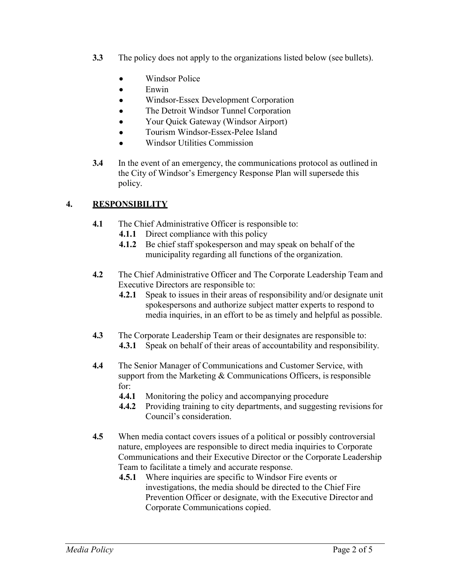- **3.3** The policy does not apply to the organizations listed below (see bullets).
	- Windsor Police
	- Enwin
	- Windsor-Essex Development Corporation
	- The Detroit Windsor Tunnel Corporation
	- Your Quick Gateway (Windsor Airport)
	- Tourism Windsor-Essex-Pelee Island
	- Windsor Utilities Commission
- **3.4** In the event of an emergency, the communications protocol as outlined in the City of Windsor's Emergency Response Plan will supersede this policy.

## **4. RESPONSIBILITY**

- **4.1** The Chief Administrative Officer is responsible to:
	- **4.1.1** Direct compliance with this policy
	- **4.1.2** Be chief staff spokesperson and may speak on behalf of the municipality regarding all functions of the organization.
- **4.2** The Chief Administrative Officer and The Corporate Leadership Team and Executive Directors are responsible to:
	- **4.2.1** Speak to issues in their areas of responsibility and/or designate unit spokespersons and authorize subject matter experts to respond to media inquiries, in an effort to be as timely and helpful as possible.
- **4.3** The Corporate Leadership Team or their designates are responsible to: **4.3.1** Speak on behalf of their areas of accountability and responsibility.
- **4.4** The Senior Manager of Communications and Customer Service, with support from the Marketing  $&$  Communications Officers, is responsible for:
	- **4.4.1** Monitoring the policy and accompanying procedure
	- **4.4.2** Providing training to city departments, and suggesting revisions for Council's consideration.
- **4.5** When media contact covers issues of a political or possibly controversial nature, employees are responsible to direct media inquiries to Corporate Communications and their Executive Director or the Corporate Leadership Team to facilitate a timely and accurate response.
	- **4.5.1** Where inquiries are specific to Windsor Fire events or investigations, the media should be directed to the Chief Fire Prevention Officer or designate, with the Executive Director and Corporate Communications copied.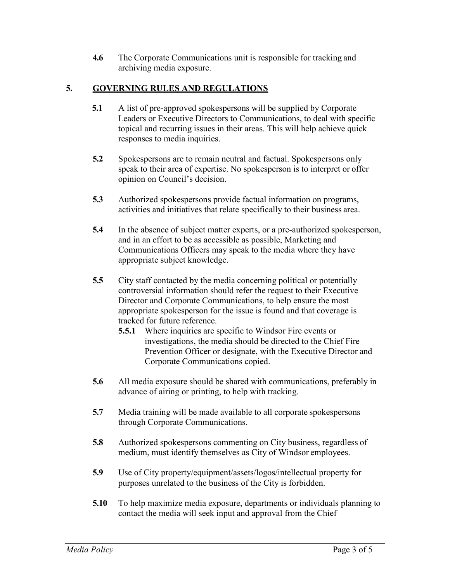**4.6** The Corporate Communications unit is responsible for tracking and archiving media exposure.

## **5. GOVERNING RULES AND REGULATIONS**

- **5.1** A list of pre-approved spokespersons will be supplied by Corporate Leaders or Executive Directors to Communications, to deal with specific topical and recurring issues in their areas. This will help achieve quick responses to media inquiries.
- **5.2** Spokespersons are to remain neutral and factual. Spokespersons only speak to their area of expertise. No spokesperson is to interpret or offer opinion on Council's decision.
- **5.3** Authorized spokespersons provide factual information on programs, activities and initiatives that relate specifically to their business area.
- **5.4** In the absence of subject matter experts, or a pre-authorized spokesperson, and in an effort to be as accessible as possible, Marketing and Communications Officers may speak to the media where they have appropriate subject knowledge.
- **5.5** City staff contacted by the media concerning political or potentially controversial information should refer the request to their Executive Director and Corporate Communications, to help ensure the most appropriate spokesperson for the issue is found and that coverage is tracked for future reference.
	- **5.5.1** Where inquiries are specific to Windsor Fire events or investigations, the media should be directed to the Chief Fire Prevention Officer or designate, with the Executive Director and Corporate Communications copied.
- **5.6** All media exposure should be shared with communications, preferably in advance of airing or printing, to help with tracking.
- **5.7** Media training will be made available to all corporate spokespersons through Corporate Communications.
- **5.8** Authorized spokespersons commenting on City business, regardless of medium, must identify themselves as City of Windsor employees.
- **5.9** Use of City property/equipment/assets/logos/intellectual property for purposes unrelated to the business of the City is forbidden.
- **5.10** To help maximize media exposure, departments or individuals planning to contact the media will seek input and approval from the Chief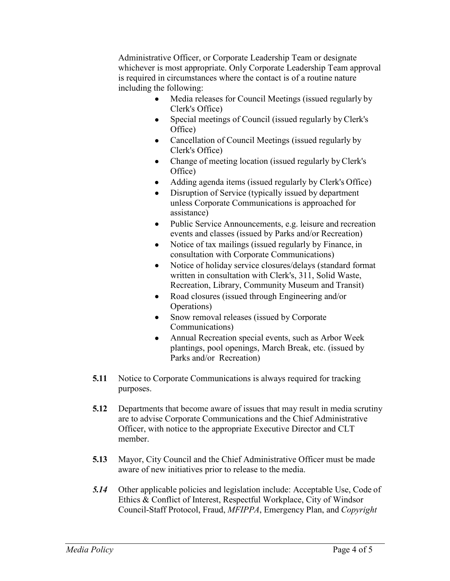Administrative Officer, or Corporate Leadership Team or designate whichever is most appropriate. Only Corporate Leadership Team approval is required in circumstances where the contact is of a routine nature including the following:

- Media releases for Council Meetings (issued regularly by Clerk's Office)
- Special meetings of Council (issued regularly by Clerk's Office)
- Cancellation of Council Meetings (issued regularly by Clerk's Office)
- Change of meeting location (issued regularly by Clerk's Office)
- Adding agenda items (issued regularly by Clerk's Office)
- Disruption of Service (typically issued by department unless Corporate Communications is approached for assistance)
- Public Service Announcements, e.g. leisure and recreation events and classes (issued by Parks and/or Recreation)
- Notice of tax mailings (issued regularly by Finance, in consultation with Corporate Communications)
- Notice of holiday service closures/delays (standard format written in consultation with Clerk's, 311, Solid Waste, Recreation, Library, Community Museum and Transit)
- Road closures (issued through Engineering and/or Operations)
- Snow removal releases (issued by Corporate Communications)
- Annual Recreation special events, such as Arbor Week plantings, pool openings, March Break, etc. (issued by Parks and/or Recreation)
- **5.11** Notice to Corporate Communications is always required for tracking purposes.
- **5.12** Departments that become aware of issues that may result in media scrutiny are to advise Corporate Communications and the Chief Administrative Officer, with notice to the appropriate Executive Director and CLT member.
- **5.13** Mayor, City Council and the Chief Administrative Officer must be made aware of new initiatives prior to release to the media.
- *5.14* Other applicable policies and legislation include: Acceptable Use, Code of Ethics & Conflict of Interest, Respectful Workplace, City of Windsor Council-Staff Protocol, Fraud, *MFIPPA*, Emergency Plan, and *Copyright*